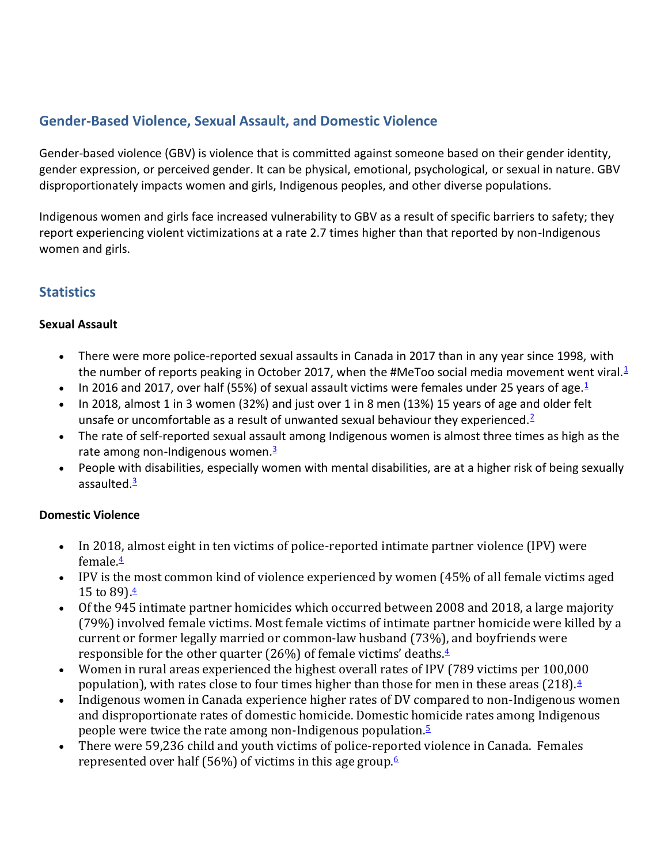# **Gender-Based Violence, Sexual Assault, and Domestic Violence**

Gender-based violence (GBV) is violence that is committed against someone based on their gender identity, gender expression, or perceived gender. It can be physical, emotional, psychological, or sexual in nature. GBV disproportionately impacts women and girls, Indigenous peoples, and other diverse populations.

Indigenous women and girls face increased vulnerability to GBV as a result of specific barriers to safety; they report experiencing violent victimizations at a rate 2.7 times higher than that reported by non-Indigenous women and girls.

# **Statistics**

### **Sexual Assault**

- There were more police-reported sexual assaults in Canada in 2017 than in any year since 1998, with the number of reports peaking in October 20[1](https://www2.gov.bc.ca/gov/content/safety/public-safety/domestic-violence#Police Reported Sexual Assault 2016 2017)7, when the #MeToo social media movement went viral.<sup>1</sup>
- In 20[1](https://www2.gov.bc.ca/gov/content/safety/public-safety/domestic-violence#Police Reported Sexual Assault 2016 2017)6 and 2017, over half (55%) of sexual assault victims were females under 25 years of age. $1/2$
- In 2018, almost 1 in 3 women (32%) and just over 1 in 8 men (13%) 15 years of age and older felt unsafe or uncomfortable as a result of unwanted sexual behaviour they experienced.<sup>[2](https://www2.gov.bc.ca/gov/content/safety/public-safety/domestic-violence#GBV and unwanted sexual behaviour 2018)</sup>
- The rate of self-reported sexual assault among Indigenous women is almost three times as high as the rate among non-Indigenous women[.](https://www2.gov.bc.ca/gov/content/safety/public-safety/domestic-violence#Self Reported sexual assault 2014) $\frac{3}{2}$
- People with disabilities, especially women with mental disabilities, are at a higher risk of being sexually assaulted. $\frac{3}{2}$  $\frac{3}{2}$  $\frac{3}{2}$

## **Domestic Violence**

- In 2018, almost eight in ten victims of police-reported intimate partner violence (IPV) were female. $4$
- IPV is the most common kind of violence experienced by women (45% of all female victims aged 15 to 89) $\frac{4}{5}$  $\frac{4}{5}$  $\frac{4}{5}$
- Of the 945 intimate partner homicides which occurred between 2008 and 2018, a large majority (79%) involved female victims. Most female victims of intimate partner homicide were killed by a current or former legally married or common-law husband (73%), and boyfriends were responsible for the other quarter (26%) of female victims' deaths.[4](https://www2.gov.bc.ca/gov/content/safety/public-safety/domestic-violence#Family Violence in Canada 2017)
- Women in rural areas experienced the highest overall rates of IPV (789 victims per 100,000 population), with rates close to four times higher than those for men in these areas (218).[4](https://www2.gov.bc.ca/gov/content/safety/public-safety/domestic-violence#Family Violence in Canada 2017)
- Indigenous women in Canada experience higher rates of DV compared to non-Indigenous women and disproportionate rates of domestic homicide. Domestic homicide rates among Indigenous people were twice the rate among non-Indigenous population.[5](https://www2.gov.bc.ca/gov/content/safety/public-safety/domestic-violence#Domestic Violence and Homicide in Rural Remote)
- There were 59,236 child and youth victims of police-reported violence in Canada. Females represented over half (5[6](https://www2.gov.bc.ca/gov/content/safety/public-safety/domestic-violence#Statistics Canada Family Violence 2018)%) of victims in this age group. $6$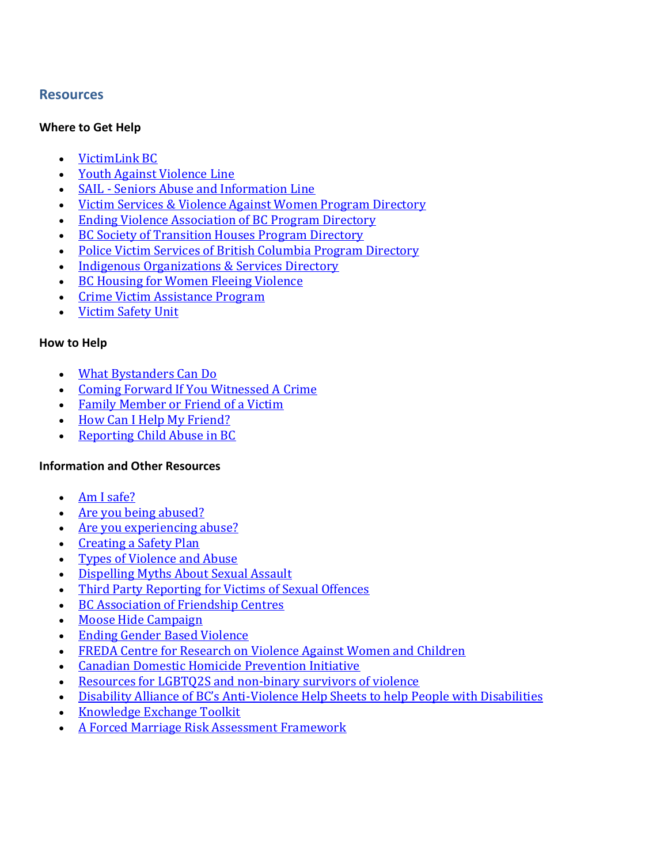### **Resources**

#### **Where to Get Help**

- [VictimLink BC](https://www2.gov.bc.ca/gov/content/justice/criminal-justice/victims-of-crime/victimlinkbc)
- [Youth Against Violence Line](http://www.youthagainstviolenceline.com/)
- SAIL [Seniors Abuse and Information Line](http://seniorsfirstbc.ca/)
- [Victim Services & Violence Against Women Program Directory](https://www2.gov.bc.ca/gov/content/justice/criminal-justice/bcs-criminal-justice-system/if-you-are-a-victim-of-a-crime/victim-of-crime/victim-services-directory)
- **[Ending Violence Association of BC Program Directory](https://endingviolence.org/need-help/services/)**
- [BC Society of Transition Houses Program Directory](https://bcsth.ca/directory/)
- [Police Victim Services of British Columbia Program Directory](https://www.policevictimservices.bc.ca/wp-content/uploads/2018/11/PVSBC-Directory-Nov-2018.pdf)
- [Indigenous Organizations & Services Directory](https://www2.gov.bc.ca/gov/content/governments/indigenous-people/aboriginal-organizations-services?keyword=aboriginal&keyword=organizations&keyword=and&keyword=services)
- [BC Housing for Women Fleeing Violence](https://www.bchousing.org/housing-assistance/women-fleeing-violence)
- [Crime Victim Assistance Program](https://www2.gov.bc.ca/gov/content/justice/criminal-justice/bcs-criminal-justice-system/if-you-are-a-victim-of-a-crime/victim-of-crime/financial-assistance-benefits)
- [Victim Safety Unit](https://www2.gov.bc.ca/gov/content/justice/criminal-justice/bcs-criminal-justice-system/if-you-are-a-victim-of-a-crime/victim-of-crime/victim-notification)

#### **How to Help**

- [What Bystanders Can Do](http://endingviolence.org/prevention-programs/be-more-than-a-bystander/what-you-can-do-to-be-more-than-a-bystander/)
- [Coming Forward If You Witnessed A Crime](https://www2.gov.bc.ca/gov/content/justice/criminal-justice/bcs-criminal-justice-system/witnessed-a-crime/coming-forward)
- [Family Member or Friend of a Victim](https://www2.gov.bc.ca/gov/content/justice/criminal-justice/bcs-criminal-justice-system/family-members-or-friends/victim-of-crime-family-member-or-friend)
- [How Can I Help My Friend?](https://www.bwss.org/wp-content/uploads/BWSS_Help-my-friend_2014.pdf)
- [Reporting Child Abuse in BC](https://www2.gov.bc.ca/gov/content/safety/public-safety/protecting-children/reporting-child-abuse)

### **Information and Other Resources**

- [Am I safe?](https://www2.gov.bc.ca/assets/gov/law-crime-and-justice/criminal-justice/bc-criminal-justice-system/if-victim/publications/help-hope-healing-am-i-safe.pdf)
- [Are you being abused?](https://www2.gov.bc.ca/assets/gov/law-crime-and-justice/criminal-justice/bc-criminal-justice-system/if-victim/publications/help-hope-healing-are-you-being-abused.pdf)
- [Are you experiencing abuse?](https://www2.gov.bc.ca/assets/gov/law-crime-and-justice/criminal-justice/bc-criminal-justice-system/if-victim/publications/help-hope-healing-are-you-experiencing-abuse.pdf)
- [Creating a Safety Plan](https://www2.gov.bc.ca/assets/gov/law-crime-and-justice/criminal-justice/victims-of-crime/vs-info-for-professionals/training/creating-safety-plan.pdf)
- [Types of Violence and Abuse](http://endingviolence.org/need-help/types-of-violence-and-abuse-2/)
- [Dispelling Myths About Sexual Assault](https://www.ontario.ca/page/dispelling-myths-about-sexual-assault?_ga=2.176961189.1617928026.1553027262-1774434441.1553027262)
- [Third Party Reporting for Victims of Sexual Offences](https://www2.gov.bc.ca/gov/content/justice/criminal-justice/bcs-criminal-justice-system/reporting-a-crime/victim-or-witness-to-crime/third-party-reporting-for-victims-of-sexual-offences)
- [BC Association of Friendship Centres](https://bcaafc.com/)
- [Moose Hide Campaign](https://moosehidecampaign.ca/)
- [Ending Gender Based Violence](https://www2.gov.bc.ca/gov/content/gender-equity/ending-gender-based-violence)
- [FREDA Centre for Research on Violence Against Women and Children](http://www.fredacentre.com/)
- [Canadian Domestic Homicide Prevention Initiative](http://www.cdhpi.ca/)
- [Resources for LGBTQ2S and non-binary survivors of violence](https://www.bwss.org/support/lgbtq2s/)
- Disability Alliance of BC's Anti[-Violence Help Sheets to help People with Disabilities](http://disabilityalliancebc.org/category/publications/anti-violence-resources/)
- [Knowledge Exchange Toolkit](https://www2.gov.bc.ca/assets/gov/public-safety-and-emergency-services/domestic-violence/podv/knowledge_exchange_project.pdf)
- [A Forced Marriage Risk Assessment Framework](http://www.endforcedmarriages.ca/are-you-a-service-provider/risk-assessment-framework/)